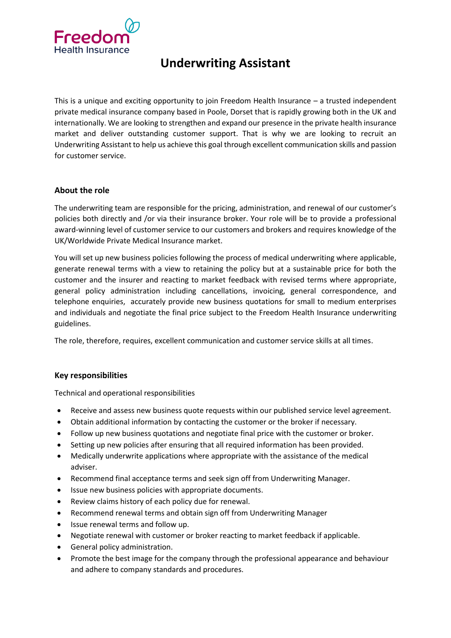

# **Underwriting Assistant**

This is a unique and exciting opportunity to join Freedom Health Insurance – a trusted independent private medical insurance company based in Poole, Dorset that is rapidly growing both in the UK and internationally. We are looking to strengthen and expand our presence in the private health insurance market and deliver outstanding customer support. That is why we are looking to recruit an Underwriting Assistant to help us achieve this goal through excellent communication skills and passion for customer service.

# **About the role**

The underwriting team are responsible for the pricing, administration, and renewal of our customer's policies both directly and /or via their insurance broker. Your role will be to provide a professional award-winning level of customer service to our customers and brokers and requires knowledge of the UK/Worldwide Private Medical Insurance market.

You will set up new business policies following the process of medical underwriting where applicable, generate renewal terms with a view to retaining the policy but at a sustainable price for both the customer and the insurer and reacting to market feedback with revised terms where appropriate, general policy administration including cancellations, invoicing, general correspondence, and telephone enquiries, accurately provide new business quotations for small to medium enterprises and individuals and negotiate the final price subject to the Freedom Health Insurance underwriting guidelines.

The role, therefore, requires, excellent communication and customer service skills at all times.

# **Key responsibilities**

Technical and operational responsibilities

- Receive and assess new business quote requests within our published service level agreement.
- Obtain additional information by contacting the customer or the broker if necessary.
- Follow up new business quotations and negotiate final price with the customer or broker.
- Setting up new policies after ensuring that all required information has been provided.
- Medically underwrite applications where appropriate with the assistance of the medical adviser.
- Recommend final acceptance terms and seek sign off from Underwriting Manager.
- Issue new business policies with appropriate documents.
- Review claims history of each policy due for renewal.
- Recommend renewal terms and obtain sign off from Underwriting Manager
- Issue renewal terms and follow up.
- Negotiate renewal with customer or broker reacting to market feedback if applicable.
- General policy administration.
- Promote the best image for the company through the professional appearance and behaviour and adhere to company standards and procedures.